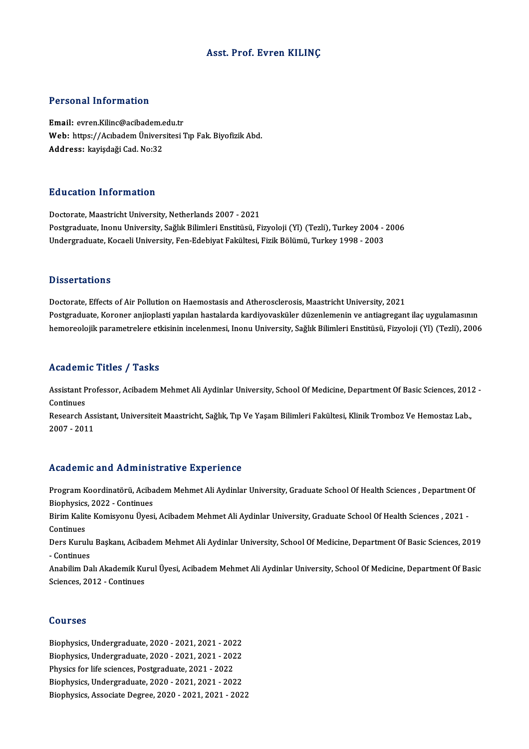### Asst. Prof. Evren KILINÇ

#### Personal Information

Personal Information<br>Email: evren.Kilinc@acibadem.edu.tr<br>Web: https://Ashadem.Üniversitesi? Web: https://Acıbadem Üniversitesi Tıp Fak. Biyofizik Abd.<br>Address: kayişdaği Cad. No:32 Email: evren.Kilinc@acibadem.e<br>Web: https://Acıbadem Ünivers<br>Address: kayişdaği Cad. No:32

#### Education Information

Doctorate, Maastricht University, Netherlands 2007 - 2021 Puusuteen Tiitsi interesi<br>Doctorate, Maastricht University, Netherlands 2007 - 2021<br>Postgraduate, Inonu University, Sağlık Bilimleri Enstitüsü, Fizyoloji (Yl) (Tezli), Turkey 2004 - 2006<br>Undergraduate Kosaeli University, F Doctorate, Maastricht University, Netherlands 2007 - 2021<br>Postgraduate, Inonu University, Sağlık Bilimleri Enstitüsü, Fizyoloji (Yl) (Tezli), Turkey 2004 - <br>Undergraduate, Kocaeli University, Fen-Edebiyat Fakültesi, Fizik Undergraduate, Kocaeli University, Fen-Edebiyat Fakültesi, Fizik Bölümü, Turkey 1998 - 2003<br>Dissertations

Doctorate, Effects of Air Pollution on Haemostasis and Atherosclerosis, Maastricht University, 2021 Phosei tationis<br>Doctorate, Effects of Air Pollution on Haemostasis and Atherosclerosis, Maastricht University, 2021<br>Postgraduate, Koroner anjioplasti yapılan hastalarda kardiyovasküler düzenlemenin ve antiagregant ilaç uyg Doctorate, Effects of Air Pollution on Haemostasis and Atherosclerosis, Maastricht University, 2021<br>Postgraduate, Koroner anjioplasti yapılan hastalarda kardiyovasküler düzenlemenin ve antiagregant ilaç uygulamasının<br>hemor hemoreolojik parametrelere etkisinin incelenmesi, Inonu University, Sağlık Bilimleri Enstitüsü, Fizyoloji (Yl) (Tezli), 2006<br>Academic Titles / Tasks

**Academic Titles / Tasks**<br>Assistant Professor, Acibadem Mehmet Ali Aydinlar University, School Of Medicine, Department Of Basic Sciences, 2012 -<br>Continues Assistant P<br>Continues<br>Pesearch Assistant Professor, Acibadem Mehmet Ali Aydinlar University, School Of Medicine, Department Of Basic Sciences, 201:<br>Continues<br>Research Assistant, Universiteit Maastricht, Sağlık, Tıp Ve Yaşam Bilimleri Fakültesi, Klinik T

Continues<br>Research Assistant, Universiteit Maastricht, Sağlık, Tıp Ve Yaşam Bilimleri Fakültesi, Klinik Tromboz Ve Hemostaz Lab.,<br>2007 - 2011

### Academic and Administrative Experience

Academic and Administrative Experience<br>Program Koordinatörü, Acibadem Mehmet Ali Aydinlar University, Graduate School Of Health Sciences , Department Of Program Koordinatörü, Aciba<br>Biophysics, 2022 - Continues<br>Birim Kolite Komisuonu Üvesi Program Koordinatörü, Acibadem Mehmet Ali Aydinlar University, Graduate School Of Health Sciences , Department (<br>Biophysics, 2022 - Continues<br>Birim Kalite Komisyonu Üyesi, Acibadem Mehmet Ali Aydinlar University, Graduate

Biophysics, 2022 - Continues<br>Birim Kalite Komisyonu Üyesi, Acibadem Mehmet Ali Aydinlar University, Graduate School Of Health Sciences , 2021 -<br>Continues Birim Kalite Komisyonu Üyesi, Acibadem Mehmet Ali Aydinlar University, Graduate School Of Health Sciences , 2021 -<br>Continues<br>Ders Kurulu Başkanı, Acibadem Mehmet Ali Aydinlar University, School Of Medicine, Department Of B

Continues<br>Ders Kurulu<br>- Continues<br>Anabilim Da Ders Kurulu Başkanı, Acibadem Mehmet Ali Aydinlar University, School Of Medicine, Department Of Basic Sciences, 2019<br>- Continues<br>Anabilim Dalı Akademik Kurul Üyesi, Acibadem Mehmet Ali Aydinlar University, School Of Medici

- Continues<br>Anabilim Dalı Akademik Ku<br>Sciences, 2012 - Continues Sciences, 2012 - Continues<br>Courses

Biophysics,Undergraduate,2020 -2021,2021 -2022 Sourbes<br>Biophysics, Undergraduate, 2020 - 2021, 2021 - 2022<br>Biophysics, Undergraduate, 2020 - 2021, 2021 - 2022<br>Physics for life esianese, Postanduate, 2021, 2022 Biophysics, Undergraduate, 2020 - 2021, 2021 - 202<br>Biophysics, Undergraduate, 2020 - 2021, 2021 - 202<br>Physics for life sciences, Postgraduate, 2021 - 2022<br>Biophysics, Undergraduate, 2020, 2021, 2021, 202 Biophysics, Undergraduate, 2020 - 2021, 2021 - 2022<br>Physics for life sciences, Postgraduate, 2021 - 2022<br>Biophysics, Undergraduate, 2020 - 2021, 2021 - 2022<br>Biophysics, Assasiste Desnee, 2020, 2021, 2021, 202 Physics for life sciences, Postgraduate, 2021 - 2022<br>Biophysics, Undergraduate, 2020 - 2021, 2021 - 2022<br>Biophysics, Associate Degree, 2020 - 2021, 2021 - 2022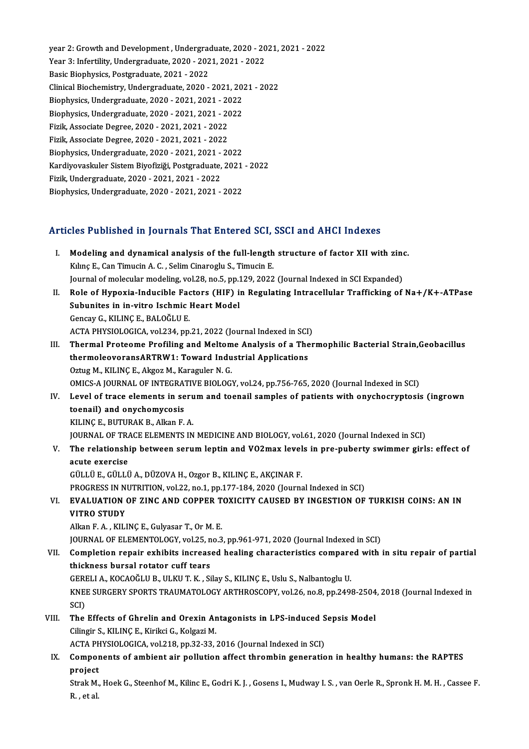year 2: Growth and Development, Undergraduate, 2020 - 2021, 2021 - 2022 year 2: Growth and Development , Undergraduate, 2020 - 20<br>Year 3: Infertility, Undergraduate, 2020 - 2021, 2021 - 2022<br>Resis Biophysics, Restanduate, 2021, 2022 year 2: Growth and Development , Undergrad<br>Year 3: Infertility, Undergraduate, 2020 - 202<br>Basic Biophysics, Postgraduate, 2021 - 2022<br>Clinical Biochemistry, Undergraduate, 2020 Year 3: Infertility, Undergraduate, 2020 - 2021, 2021 - 2022<br>Basic Biophysics, Postgraduate, 2021 - 2022<br>Clinical Biochemistry, Undergraduate, 2020 - 2021, 2021 - 2022<br>Biophysics, Undergraduate, 2020, 2021, 2021, 2022 Basic Biophysics, Postgraduate, 2021 - 2022<br>Clinical Biochemistry, Undergraduate, 2020 - 2021, 201<br>Biophysics, Undergraduate, 2020 - 2021, 2021 - 2022<br>Biophysics, Undergraduate, 2020, 2021, 2021, 2022 Clinical Biochemistry, Undergraduate, 2020 - 2021, 2021<br>Biophysics, Undergraduate, 2020 - 2021, 2021 - 2022<br>Biophysics, Undergraduate, 2020 - 2021, 2021 - 2022<br>Firik, Associate Degree, 2020, 2021, 2021, 2022 Biophysics, Undergraduate, 2020 - 2021, 2021 - 2022<br>Biophysics, Undergraduate, 2020 - 2021, 2021 - 2022<br>Fizik, Associate Degree, 2020 - 2021, 2021 - 2022<br>Fizik, Associate Degree, 2020 - 2021, 2021 - 2022 Biophysics, Undergraduate, 2020 - 2021, 2021 - 2022<br>Fizik, Associate Degree, 2020 - 2021, 2021 - 2022<br>Fizik, Associate Degree, 2020 - 2021, 2021 - 2022<br>Biophysics, Undergraduate, 2020 - 2021, 2021 - 2022 Fizik, Associate Degree, 2020 - 2021, 2021 - 2022 Fizik, Associate Degree, 2020 - 2021, 2021 - 2022<br>Biophysics, Undergraduate, 2020 - 2021, 2021 - 2022<br>Kardiyovaskuler Sistem Biyofiziği, Postgraduate, 2021 - 2022<br>Fizik Undergraduate, 2020, 2021, 2021, 2022 Biophysics, Undergraduate, 2020 - 2021, 2021 -<br>Kardiyovaskuler Sistem Biyofiziği, Postgraduate,<br>Fizik, Undergraduate, 2020 - 2021, 2021 - 2022<br>Biophysics, Undergraduate, 2020, 2021, 2021 Kardiyovaskuler Sistem Biyofiziği, Postgraduate, 2021<br>Fizik, Undergraduate, 2020 - 2021, 2021 - 2022<br>Biophysics, Undergraduate, 2020 - 2021, 2021 - 2022

# Biophysics, ondergraduate, 2020 - 2021, 2021 - 2022<br>Articles Published in Journals That Entered SCI, SSCI and AHCI Indexes

- rticles Published in Journals That Entered SCI, SSCI and AHCI Indexes<br>I. Modeling and dynamical analysis of the full-length structure of factor XII with zinc.<br>Kiling E. Can Timugin A. C. Selim Ginanagh: S. Timugin E. Kılınç E., Can Timucin A. C. , Selim Cinaroglu S., Timucin E.<br>Journal of molecular modeling, vol.28, no.5, pp.129, 2022 (Journal Indexed in SCI Expanded) I. Modeling and dynamical analysis of the full-length structure of factor XII with zinc. Kılınç E., Can Timucin A. C. , Selim Cinaroglu S., Timucin E.<br>Journal of molecular modeling, vol.28, no.5, pp.129, 2022 (Journal Indexed in SCI Expanded)<br>II. Role of Hypoxia-Inducible Factors (HIF) in Regulating Intracellu
- Journal of molecular modeling, vol.28, no.5, pp.1<br>Role of Hypoxia-Inducible Factors (HIF) is<br>Subunites in in-vitro Ischmic Heart Model<br>Consay C, KU INC E, PALOČULE Role of Hypoxia-Inducible Face<br>Subunites in in-vitro Ischmic |<br>Gencay G., KILINÇ E., BALOĞLU E.<br>ACTA PHYSIOLOGICA vol 224 nn Subunites in in-vitro Ischmic Heart Model<br>Gencay G., KILINÇ E., BALOĞLU E.<br>ACTA PHYSIOLOGICA, vol.234, pp.21, 2022 (Journal Indexed in SCI) Gencay G., KILINÇ E., BALOĞLU E.<br>ACTA PHYSIOLOGICA, vol.234, pp.21, 2022 (Journal Indexed in SCI)<br>III. Thermal Proteome Profiling and Meltome Analysis of a Thermophilic Bacterial Strain,Geobacillus<br>thermologyorongABTPW
- ACTA PHYSIOLOGICA, vol.234, pp.21, 2022 (Journal Indexed in SCI)<br>Thermal Proteome Profiling and Meltome Analysis of a The<br>thermoleovoransARTRW1: Toward Industrial Applications<br>Ortug M. KILING E. Aligeg M. Karagular N. G Thermal Proteome Profiling and Meltom<br>thermoleovoransARTRW1: Toward Indu<br>Oztug M., KILINÇ E., Akgoz M., Karaguler N. G.<br>OMICS A JOURNAL OF INTECRATIVE PIOLOC. thermoleovoransARTRW1: Toward Industrial Applications<br>Oztug M., KILINÇ E., Akgoz M., Karaguler N. G.<br>OMICS-A JOURNAL OF INTEGRATIVE BIOLOGY, vol.24, pp.756-765, 2020 (Journal Indexed in SCI)<br>Lavel of trace elements in seru
- Oztug M., KILINÇ E., Akgoz M., Karaguler N. G.<br>OMICS-A JOURNAL OF INTEGRATIVE BIOLOGY, vol.24, pp.756-765, 2020 (Journal Indexed in SCI)<br>IV. Level of trace elements in serum and toenail samples of patients with onychocrypt OMICS-A JOURNAL OF INTEGRAT<br>Level of trace elements in se<br>toenail) and onychomycosis<br>VILINGE BUTURAV B. Allma E KILINÇE.,BUTURAKB.,AlkanF.A. JOURNAL OF TRACE ELEMENTS IN MEDICINE AND BIOLOGY, vol.61, 2020 (Journal Indexed in SCI) KILINÇ E., BUTURAK B., Alkan F. A.<br>JOURNAL OF TRACE ELEMENTS IN MEDICINE AND BIOLOGY, vol.61, 2020 (Journal Indexed in SCI)<br>V. The relationship between serum leptin and VO2max levels in pre-puberty swimmer girls: effec

## **JOURNAL OF TRA**<br>The relationshi<br>acute exercise<br>CÜLLÜE CÜLLÜ The relationship between serum leptin and VO2max level<br>acute exercise<br>GÜLLÜ E., GÜLLÜ A., DÜZOVA H., Ozgor B., KILINÇ E., AKÇINAR F.<br>PROCRESS IN NUTRITION vol 22, po 1 pp 177 124 2020 (Journa acute exercise<br>GÜLLÜ E., GÜLLÜ A., DÜZOVA H., Ozgor B., KILINÇ E., AKÇINAR F.<br>PROGRESS IN NUTRITION, vol.22, no.1, pp.177-184, 2020 (Journal Indexed in SCI)<br>EVALUATION OF ZINC AND CORRER TOYICITY CAUSED BY INCESTION OF

### GÜLLÜ E., GÜLLÜ A., DÜZOVA H., Ozgor B., KILINÇ E., AKÇINAR F.<br>PROGRESS IN NUTRITION, vol.22, no.1, pp.177-184, 2020 (Journal Indexed in SCI)<br>VI. EVALUATION OF ZINC AND COPPER TOXICITY CAUSED BY INGESTION OF TURKISH COINS: PROGRESS IN N<br>EVALUATION<br>VITRO STUDY<br>Allan E.A., KUJ EVALUATION OF ZINC AND COPPER T<br>VITRO STUDY<br>Alkan F. A. , KILINÇ E., Gulyasar T., Or M. E.<br>JOUPNAL OF ELEMENTOLOCY .vol 25, no 2 VITRO STUDY<br>Alkan F. A. , KILINÇ E., Gulyasar T., Or M. E.<br>JOURNAL OF ELEMENTOLOGY, vol.25, no.3, pp.961-971, 2020 (Journal Indexed in SCI)<br>Completion renair exhibits increased healing characteristics compared with

## Alkan F. A. , KILINÇ E., Gulyasar T., Or M. E.<br>JOURNAL OF ELEMENTOLOGY, vol.25, no.3, pp.961-971, 2020 (Journal Indexed in SCI)<br>VII. Completion repair exhibits increased healing characteristics compared with in situ repair **JOURNAL OF ELEMENTOLOGY, vol.25, n<br>Completion repair exhibits increas<br>thickness bursal rotator cuff tears**<br>CERELLA *VOCAO*ČLU P ULVU T V Si Completion repair exhibits increased healing characteristics compare<br>thickness bursal rotator cuff tears<br>GERELI A., KOCAOĞLU B., ULKU T. K. , Silay S., KILINÇ E., Uslu S., Nalbantoglu U.<br>KNEE SURCERY SPORTS TRAUMATOLOCY AR

thickness bursal rotator cuff tears<br>GERELI A., KOCAOĞLU B., ULKU T. K. , Silay S., KILINÇ E., Uslu S., Nalbantoglu U.<br>KNEE SURGERY SPORTS TRAUMATOLOGY ARTHROSCOPY, vol.26, no.8, pp.2498-2504, 2018 (Journal Indexed in<br>SCI) GERELI A., KOCAOĞLU B., ULKU T. K., Silay S., KILINÇ E., Uslu S., Nalbantoglu U. KNEE SURGERY SPORTS TRAUMATOLOGY ARTHROSCOPY, vol.26, no.8, pp.2498-2504<br>SCI)<br>VIII. The Effects of Ghrelin and Orexin Antagonists in LPS-induced Sepsis Model<br>Cilingin S. VII INCE, Virilei C. Volgari M.

# SCI)<br>The Effects of Ghrelin and Orexin Ar<br>Cilingir S., KILINÇ E., Kirikci G., Kolgazi M.<br>ACTA PHYSIOLOGICA vol 318 np 32.33 The Effects of Ghrelin and Orexin Antagonists in LPS-induced S<br>Cilingir S., KILINÇ E., Kirikci G., Kolgazi M.<br>ACTA PHYSIOLOGICA, vol.218, pp.32-33, 2016 (Journal Indexed in SCI)<br>Components of ambient six pollution offect t

ACTA PHYSIOLOGICA, vol.218, pp.32-33, 2016 (Journal Indexed in SCI)

# Cilingir S., KILINÇ E., Kirikci G., Kolgazi M.<br>ACTA PHYSIOLOGICA, vol.218, pp.32-33, 2016 (Journal Indexed in SCI)<br>IX. Components of ambient air pollution affect thrombin generation in healthy humans: the RAPTES<br>project Components of ambient air pollution affect thrombin generation in healthy humans: the RAPTES<br>project<br>Strak M., Hoek G., Steenhof M., Kilinc E., Godri K. J. , Gosens I., Mudway I. S. , van Oerle R., Spronk H. M. H. , Cassee

project<br>Strak M.<br>R. , et al.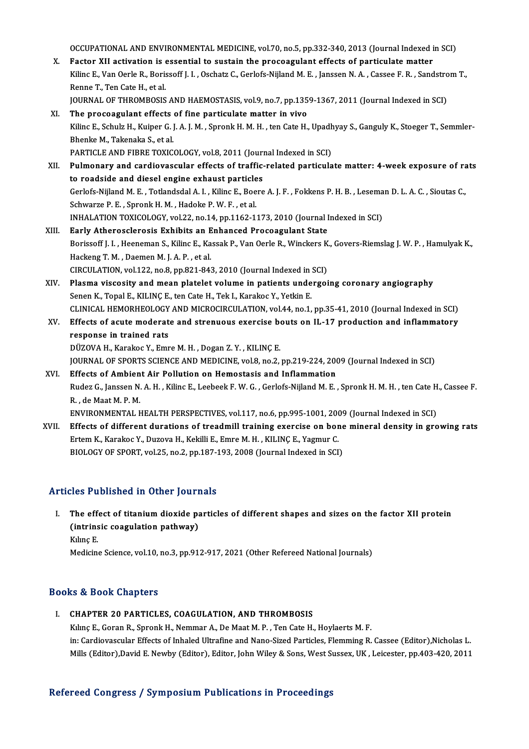OCCUPATIONAL AND ENVIRONMENTAL MEDICINE, vol.70, no.5, pp.332-340, 2013 (Journal Indexed in SCI)<br>Fester XII estivation is essential to quatein the presency lant effects of portiaulate matter

OCCUPATIONAL AND ENVIRONMENTAL MEDICINE, vol.70, no.5, pp.332-340, 2013 (Journal Indexed in Manuscriptum of the procoagulant effects of particulate matter Kiling E. Van Oarle B. Borisseff L.L. Oschatz C. Corlofo Nijland M. OCCUPATIONAL AND ENVIRONMENTAL MEDICINE, vol.70, no.5, pp.332-340, 2013 (Journal Indexed in SCI)<br>Factor XII activation is essential to sustain the procoagulant effects of particulate matter<br>Kilinc E., Van Oerle R., Borisso X. Factor XII activation is essential to sustain the procoagulant effects of particulate matter<br>Kilinc E., Van Oerle R., Borissoff J. I. , Oschatz C., Gerlofs-Nijland M. E. , Janssen N. A. , Cassee F. R. , Sandstrom T.,<br>Re Kilinc E., Van Oerle R., Borissoff J. I. , Oschatz C., Gerlofs-Nijland M. E. , Janssen N. A. , Cassee F. R. , Sandstro<br>Renne T., Ten Cate H., et al.<br>JOURNAL OF THROMBOSIS AND HAEMOSTASIS, vol.9, no.7, pp.1359-1367, 2011 (J Renne T., Ten Cate H., et al.<br>JOURNAL OF THROMBOSIS AND HAEMOSTASIS, vol.9, no.7, pp.135<br>XI. The procoagulant effects of fine particulate matter in vivo<br>Kiling E. Schulz H. Kuiner G.J.A.J.M. Spreak H.M.H. ten Gate H.

- JOURNAL OF THROMBOSIS AND HAEMOSTASIS, vol.9, no.7, pp.1359-1367, 2011 (Journal Indexed in SCI)<br>The procoagulant effects of fine particulate matter in vivo<br>Kilinc E., Schulz H., Kuiper G. J. A. J. M. , Spronk H. M. H. , te XI. The procoagulant effects of fine particulate matter in vivo<br>Kilinc E., Schulz H., Kuiper G. J. A. J. M. , Spronk H. M. H. , ten Cate H., Upadhyay S., Ganguly K., Stoeger T., Semmler-<br>Bhenke M., Takenaka S., et al. Kilinc E., Schulz H., Kuiper G. J. A. J. M. , Spronk H. M. H. , ten Cate H., Upadh<br>Bhenke M., Takenaka S., et al.<br>PARTICLE AND FIBRE TOXICOLOGY, vol.8, 2011 (Journal Indexed in SCI)<br>Bulmonory and cardiovascular offects of Bhenke M., Takenaka S., et al.<br>PARTICLE AND FIBRE TOXICOLOGY, vol.8, 2011 (Journal Indexed in SCI)<br>XII. Pulmonary and cardiovascular effects of traffic-related particulate matter: 4-week exposure of rats<br>to reader on diese
- PARTICLE AND FIBRE TOXICOLOGY, vol.8, 2011 (Journ<br>Pulmonary and cardiovascular effects of traffic-<br>to roadside and diesel engine exhaust particles Pulmonary and cardiovascular effects of traffic-related particulate matter: 4-week exposure of ra<br>to roadside and diesel engine exhaust particles<br>Gerlofs-Nijland M. E. , Totlandsdal A. I. , Kilinc E., Boere A. J. F. , Fokk to roadside and diesel engine exhaust particles<br>Gerlofs-Nijland M. E. , Totlandsdal A. I. , Kilinc E., Boere A. J. F. , Fokkens P. H. B. , Leseman D. L. A. C. , Sioutas C.,<br>Schwarze P. E. , Spronk H. M. , Hadoke P. W. F. , Gerlofs-Nijland M. E. , Totlandsdal A. I. , Kilinc E., Boere A. J. F. , Fokkens P. H. B. , Lesema<br>Schwarze P. E. , Spronk H. M. , Hadoke P. W. F. , et al.<br>INHALATION TOXICOLOGY, vol.22, no.14, pp.1162-1173, 2010 (Journal I Schwarze P. E., Spronk H. M., Hadoke P. W. F., et al.<br>INHALATION TOXICOLOGY, vol.22, no.14, pp.1162-1173, 2010 (Journal I<br>XIII. Early Atherosclerosis Exhibits an Enhanced Procoagulant State<br>Poriscoff J. J. Heeneman S. Vili
- INHALATION TOXICOLOGY, vol.22, no.14, pp.1162-1173, 2010 (Journal Indexed in SCI)<br><mark>Early Atherosclerosis Exhibits an Enhanced Procoagulant State</mark><br>Borissoff J. I. , Heeneman S., Kilinc E., Kassak P., Van Oerle R., Winckers Early Atherosclerosis Exhibits an Enhanced Procoagulant State<br>Borissoff J. I. , Heeneman S., Kilinc E., Kassak P., Van Oerle R., Winckers K<br>Hackeng T. M. , Daemen M. J. A. P. , et al.<br>CIRCULATION, vol.122, no.8, pp.821-843 Borissoff J. I. , Heeneman S., Kilinc E., Kassak P., Van Oerle R., Winckers K<br>Hackeng T. M. , Daemen M. J. A. P. , et al.<br>CIRCULATION, vol.122, no.8, pp.821-843, 2010 (Journal Indexed in SCI)<br>Plasma viscosity and maan plat Hackeng T. M. , Daemen M. J. A. P. , et al.<br>CIRCULATION, vol.122, no.8, pp.821-843, 2010 (Journal Indexed in SCI)<br>XIV. Plasma viscosity and mean platelet volume in patients undergoing coronary angiography<br>Senen K. Tenel E.
- CIRCULATION, vol.122, no.8, pp.821-843, 2010 (Journal Indexed in<br>Plasma viscosity and mean platelet volume in patients unde<br>Senen K., Topal E., KILINÇ E., ten Cate H., Tek I., Karakoc Y., Yetkin E.<br>CLINICAL HEMOPHEOLOCY AN Plasma viscosity and mean platelet volume in patients undergoing coronary angiography<br>Senen K., Topal E., KILINÇ E., ten Cate H., Tek I., Karakoc Y., Yetkin E.<br>CLINICAL HEMORHEOLOGY AND MICROCIRCULATION, vol.44, no.1, pp.3 CLINICAL HEMORHEOLOGY AND MICROCIRCULATION, vol.44, no.1, pp.35-41, 2010 (Journal Indexed in SCI)
- Senen K., Topal E., KILINÇ E., ten Cate H., Tek I., Karakoc Y., Yetkin E.<br>CLINICAL HEMORHEOLOGY AND MICROCIRCULATION, vol.44, no.1, pp.35-41, 2010 (Journal Indexed in SCI)<br>XV. Effects of acute moderate and strenuous exerci DÜZOVAH.,KarakocY.,EmreM.H. ,DoganZ.Y. ,KILINÇE. response in trained rats<br>DÜZOVA H., Karakoc Y., Emre M. H. , Dogan Z. Y. , KILINÇ E.<br>JOURNAL OF SPORTS SCIENCE AND MEDICINE, vol.8, no.2, pp.219-224, 2009 (Journal Indexed in SCI)<br>Effects of Ambiont Air Bollution on Homost
	-
- DÜZOVA H., Karakoc Y., Emre M. H. , Dogan Z. Y. , KILINÇ E.<br>JOURNAL OF SPORTS SCIENCE AND MEDICINE, vol.8, no.2, pp.219-224, 200<br>XVI. Effects of Ambient Air Pollution on Hemostasis and Inflammation<br>Pudes C. Janssen N. A. H JOURNAL OF SPORTS SCIENCE AND MEDICINE, vol.8, no.2, pp.219-224, 2009 (Journal Indexed in SCI)<br>Effects of Ambient Air Pollution on Hemostasis and Inflammation<br>Rudez G., Janssen N. A. H. , Kilinc E., Leebeek F. W. G. , Gerl Effects of Ambient Air Pollution on Hemostasis and Inflammation<br>Rudez G., Janssen N. A. H. , Kilinc E., Leebeek F. W. G. , Gerlofs-Nijland M. E. , Spronk H. M. H. , ten Cate H., Cassee F.<br>R. , de Maat M. P. M. Rudez G., Janssen N. A. H. , Kilinc E., Leebeek F. W. G. , Gerlofs-Nijland M. E. , Spronk H. M. H. , ten Cate H<br>R. , de Maat M. P. M.<br>ENVIRONMENTAL HEALTH PERSPECTIVES, vol.117, no.6, pp.995-1001, 2009 (Journal Indexed in

XVII. Effects of different durations of treadmill training exercise on bone mineral density in growing rats<br>Ertem K., Karakoc Y., Duzova H., Kekilli E., Emre M. H., KILINC E., Yagmur C. ENVIRONMENTAL HEALTH PERSPECTIVES, vol.117, no.6, pp.995-1001, 200<br>Effects of different durations of treadmill training exercise on bor<br>Ertem K., Karakoc Y., Duzova H., Kekilli E., Emre M. H. , KILINÇ E., Yagmur C.<br>PIOLOCY BIOLOGY OF SPORT, vol.25, no.2, pp.187-193, 2008 (Journal Indexed in SCI)

### Articles Published in Other Journals

I. The effect of titanium dioxide particles of different shapes and sizes on the factor XII protein The effect of titanium dioxide pathway)<br>(intrinsic coagulation pathway) The eff<br>(intrins<br>Kılınç E.<br>Modisin Kilinç E.<br>Medicine Science, vol.10, no.3, pp.912-917, 2021 (Other Refereed National Journals)

### Books&Book Chapters

- I. CHAPTER 20 PARTICLES, COAGULATION, AND THROMBOSIS
	- Kılınç E., Goran R., Spronk H., Nemmar A., De Maat M. P., Ten Cate H., Hoylaerts M. F. in: Cardiovascular Effects of Inhaled Ultrafine and Nano-Sized Particles, Flemming R. Cassee (Editor),Nicholas L. Mills (Editor),David E. Newby (Editor), Editor, John Wiley & Sons, West Sussex, UK, Leicester, pp.403-420, 2011

#### Refereed Congress / Symposium Publications in Proceedings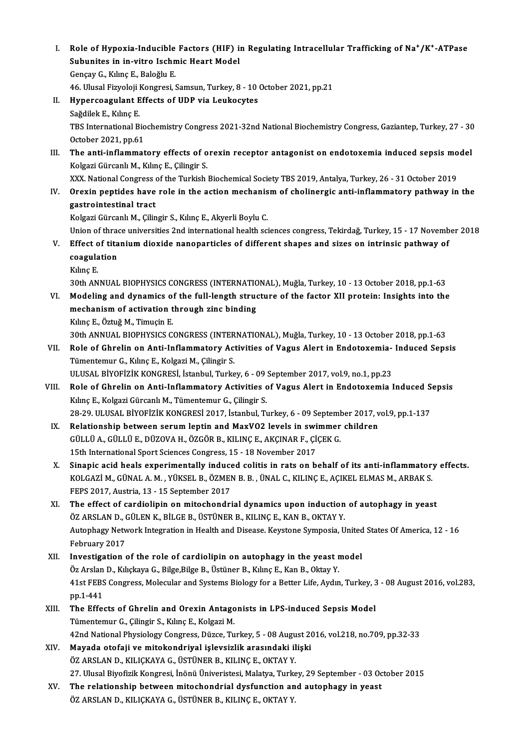I. Role of Hypoxia-Inducible Factors (HIF) in Regulating Intracellular Trafficking of Na†/K<sup>+</sup>-ATPase<br>Subunites in in vitre Jeebmis Heart Model Role of Hypoxia-Inducible Factors (HIF) in<br>Subunites in in-vitro Ischmic Heart Model<br>Cangu C. Kiling E. Balağlu E Role of Hypoxia-Inducible<br>Subunites in in-vitro Ischn<br>Gençay G., Kılınç E., Baloğlu E.<br>46 Illusal Eizvaleji Kongresi 1 Subunites in in-vitro Ischmic Heart Model<br>Gençay G., Kılınç E., Baloğlu E.<br>46. Ulusal Fizyoloji Kongresi, Samsun, Turkey, 8 - 10 October 2021, pp.21<br>Hunerseaculant Effects of UDB via Laukasutes Gençay G., Kılınç E., Baloğlu E.<br>46. Ulusal Fizyoloji Kongresi, Samsun, Turkey, 8 - 10<br>II. Hypercoagulant Effects of UDP via Leukocytes<br>Sağdilek E., Kılınç E. 46. Ulusal Fizyoloji I<br><mark>Hypercoagulant E</mark><br>Sağdilek E., Kılınç E.<br>TPS International P. Hypercoagulant Effects of UDP via Leukocytes<br>Sağdilek E., Kılınç E.<br>TBS International Biochemistry Congress 2021-32nd National Biochemistry Congress, Gaziantep, Turkey, 27 - 30<br>Osteber 2021 pp.61 Sağdilek E., Kılınç E.<br>TBS International Bio<br>October 2021, pp.61<br>The anti-inflammat TBS International Biochemistry Congress 2021-32nd National Biochemistry Congress, Gaziantep, Turkey, 27 - 30<br>October 2021, pp.61<br>III. The anti-inflammatory effects of orexin receptor antagonist on endotoxemia induced sepsi October 2021, pp.61<br>The anti-inflammatory effects of o<br>Kolgazi Gürcanlı M., Kılınç E., Çilingir S. The anti-inflammatory effects of orexin receptor antagonist on endotoxemia induced sepsis mo<br>Kolgazi Gürcanlı M., Kılınç E., Çilingir S.<br>XXX. National Congress of the Turkish Biochemical Society TBS 2019, Antalya, Turkey, IV. Orexin peptides have role in the action mechanism of cholinergic anti-inflammatory pathway in the gastrointestinal tract XXX. National Congress of the Turkish Biochemical Society TBS 2019, Antalya, Turkey, 26 - 31 October 2019 Kolgazi Gürcanlı M., Çilingir S., Kılınç E., Akyerli Boylu C. gastrointestinal tract<br>Kolgazi Gürcanlı M., Çilingir S., Kılınç E., Akyerli Boylu C.<br>Union of thrace universities 2nd international health sciences congress, Tekirdağ, Turkey, 15 - 17 November 2018<br>Effect of titenium dioxi Kolgazi Gürcanlı M., Çilingir S., Kılınç E., Akyerli Boylu C.<br>Union of thrace universities 2nd international health sciences congress, Tekirdağ, Turkey, 15 - 17 Novemb<br>V. Effect of titanium dioxide nanoparticles of differe Union of thrae<br>Effect of tita<br>coagulation<br><sup>Kilme E</sup> Effect o<br>coagula<br>Kılınç E.<br>20th AN coagulation<br>Kılınç E.<br>30th ANNUAL BIOPHYSICS CONGRESS (INTERNATIONAL), Muğla, Turkey, 10 - 13 October 2018, pp.1-63 Kılınç E.<br>30th ANNUAL BIOPHYSICS CONGRESS (INTERNATIONAL), Muğla, Turkey, 10 - 13 October 2018, pp.1-63<br>VI. Modeling and dynamics of the full-length structure of the factor XII protein: Insights into the<br>mochanism of activ 30th ANNUAL BIOPHYSICS CONGRESS (INTERNATIC<br>Modeling and dynamics of the full-length strud<br>mechanism of activation through zinc binding<br>Kiling E. Öztuğ M. Timucin E. Modeling and dynamics of<br>mechanism of activation t<br>Kılınç E., Öztuğ M., Timuçin E.<br>20th ANNUAL PIOPHYSICS C mechanism of activation through zinc binding<br>30th ANNUAL BIOPHYSICS CONGRESS (INTERNATIONAL), Muğla, Turkey, 10 - 13 October 2018, pp.1-63<br>Bole of Chrolin en Anti-Inflammatory Activities of Vasus Alert in Endetevenia, Indu Kılınç E., Öztuğ M., Timuçin E.<br>30th ANNUAL BIOPHYSICS CONGRESS (INTERNATIONAL), Muğla, Turkey, 10 - 13 October 2018, pp.1-63<br>VII. Role of Ghrelin on Anti-Inflammatory Activities of Vagus Alert in Endotoxemia- Induced Seps 30th ANNUAL BIOPHYSICS CONGRESS (INTER<br>Role of Ghrelin on Anti-Inflammatory Act<br>Tümentemur G., Kılınç E., Kolgazi M., Çilingir S.<br>HLUSAL RİVORİZİK KONGRESİ, İstanbul Turka Role of Ghrelin on Anti-Inflammatory Activities of Vagus Alert in Endotoxemia- Induced Sepsis<br>Tümentemur G., Kılınç E., Kolgazi M., Çilingir S. VIII. Role of Ghrelin on Anti-Inflammatory Activities of Vagus Alert in Endotoxemia Induced Sepsis<br>Kılınç E., Kolgazi Gürcanlı M., Tümentemur G., Çilingir S. ULUSAL BİYOFİZİK KONGRESİ, İstanbul, Turkey, 6 - 09 September 2017, vol.9, no.1, pp.23 Role of Ghrelin on Anti-Inflammatory Activities of Vagus Alert in Endotoxemia Induced S<br>Kılınç E., Kolgazi Gürcanlı M., Tümentemur G., Çilingir S.<br>28-29. ULUSAL BİYOFİZİK KONGRESİ 2017, İstanbul, Turkey, 6 - 09 September 2 Kılınç E., Kolgazi Gürcanlı M., Tümentemur G., Çilingir S.<br>28-29. ULUSAL BİYOFİZİK KONGRESİ 2017, İstanbul, Turkey, 6 - 09 September 2017, v<br>IX. Relationship between serum leptin and MaxVO2 levels in swimmer children<br>CÜLLÜ 28-29. ULUSAL BİYOFİZİK KONGRESİ 2017, İstanbul, Turkey, 6 - 09 Septeml<br>Relationship between serum leptin and MaxVO2 levels in swimmer<br>GÜLLÜ A., GÜLLÜ E., DÜZOVA H., ÖZGÖR B., KILINÇ E., AKÇINAR F., ÇİÇEK G.<br>15th Internati IX. Relationship between serum leptin and MaxVO2 levels in swimmer children<br>GÜLLÜ A., GÜLLÜ E., DÜZOVA H., ÖZGÖR B., KILINÇ E., AKÇINAR F., ÇİÇEK G.<br>15th International Sport Sciences Congress, 15 - 18 November 2017 GÜLLÜ A., GÜLLÜ E., DÜZOVA H., ÖZGÖR B., KILINÇ E., AKÇINAR F., ÇİÇEK G.<br>15th International Sport Sciences Congress, 15 - 18 November 2017<br>X. Sinapic acid heals experimentally induced colitis in rats on behalf of its anti-15th International Sport Sciences Congress, 15 - 18 November 2017<br>Sinapic acid heals experimentally induced colitis in rats on behalf of its anti-inflammator:<br>KOLGAZİ M., GÜNAL A. M. , YÜKSEL B., ÖZMEN B. B. , ÜNAL C., KIL Sinapic acid heals experimentally induct<br>KOLGAZİ M., GÜNAL A. M. , YÜKSEL B., ÖZMEI<br>FEPS 2017, Austria, 13 - 15 September 2017<br>The effect of cardiolinin on mitoshondri KOLGAZİ M., GÜNAL A. M. , YÜKSEL B., ÖZMEN B. B. , ÜNAL C., KILINÇ E., AÇIKEL ELMAS M., ARBAK S.<br>FEPS 2017, Austria, 13 - 15 September 2017<br>The effect of cardiolipin on mitochondrial dynamics upon induction of autophagy in XI. The effect of cardiolipin on mitochondrial dynamics upon induction of autophagy in yeast The effect of cardiolipin on mitochondrial dynamics upon induction of autophagy in yeast<br>ÖZ ARSLAN D., GÜLEN K., BİLGE B., ÜSTÜNER B., KILINÇ E., KAN B., OKTAY Y.<br>Autophagy Network Integration in Health and Disease. Keysto ÖZ ARSLAN D., (<br>Autophagy Netv<br>February 2017<br>Investigation Autophagy Network Integration in Health and Disease. Keystone Symposia, United<br>February 2017<br>XII. Investigation of the role of cardiolipin on autophagy in the yeast model<br> $\ddot{O}$ r Arelan D. Kikskawa G. Biksa Biksa B. Üstü February 2017<br>Investigation of the role of cardiolipin on autophagy in the yeast r<br>Öz Arslan D., Kılıçkaya G., Bilge,Bilge B., Üstüner B., Kılınç E., Kan B., Oktay Y.<br>41st EERS Congress, Molegylar and Systems Biology for a Investigation of the role of cardiolipin on autophagy in the yeast model<br>Öz Arslan D., Kılıçkaya G., Bilge,Bilge B., Üstüner B., Kılınç E., Kan B., Oktay Y.<br>41st FEBS Congress, Molecular and Systems Biology for a Better Li Öz Arslan<br>41st FEBS<br>pp.1-441<br>The Effe 41st FEBS Congress, Molecular and Systems Biology for a Better Life, Aydın, Turkey, 3<br>pp.1-441<br>XIII. The Effects of Ghrelin and Orexin Antagonists in LPS-induced Sepsis Model<br>Tümentemur C. Gilingin S. Kılıng E. Kologyi M. pp.1-441<br>The Effects of Ghrelin and Orexin Antagonists in LPS-induced Sepsis Model<br>Tümentemur G., Çilingir S., Kılınç E., Kolgazi M. 42ndNationalPhysiologyCongress,Düzce,Turkey,5 -08August2016,vol.218,no.709,pp.32-33 Tümentemur G., Çilingir S., Kılınç E., Kolgazi M.<br>42nd National Physiology Congress, Düzce, Turkey, 5 - 08 August 20<br>XIV. Mayada otofaji ve mitokondriyal işlevsizlik arasındaki ilişki<br>ÖZ ARSLAN D. KU ICKAYA G. ÜSTÜNER R. K 42nd National Physiology Congress, Düzce, Turkey, 5 - 08 Augu<br>Mayada otofaji ve mitokondriyal işlevsizlik arasındaki il<br>ÖZ ARSLAN D., KILIÇKAYA G., ÜSTÜNER B., KILINÇ E., OKTAY Y.<br>27 Hlucel Biyofirik Kongresi, İnönü Üniyer ÖZ ARSLAN D., KILIÇKAYA G., ÜSTÜNER B., KILINÇ E., OKTAY Y.<br>27. Ulusal Biyofizik Kongresi, İnönü Üniveristesi, Malatya, Turkey, 29 September - 03 October 2015 ÖZ ARSLAN D., KILIÇKAYA G., ÜSTÜNER B., KILINÇ E., OKTAY Y.<br>27. Ulusal Biyofizik Kongresi, İnönü Üniveristesi, Malatya, Turkey, 29 September - 03 Oc<br>XV. The relationship between mitochondrial dysfunction and autophagy in y 27. Ulusal Biyofizik Kongresi, İnönü Üniveristesi, Malatya, Turke<br><mark>The relationship between mitochondrial dysfunction an</mark><br>ÖZ ARSLAN D., KILIÇKAYA G., ÜSTÜNER B., KILINÇ E., OKTAY Y.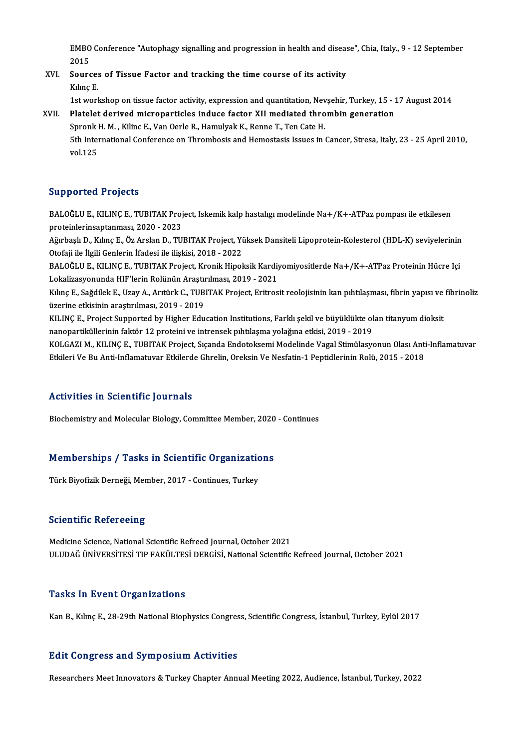EMBO Conference "Autophagy signalling and progression in health and disease", Chia, Italy., 9 - 12 September<br>2015 EMBO<br>2015<br>Soure EMBO Conference "Autophagy signalling and progression in health and diseas<br>2015<br>XVI. Sources of Tissue Factor and tracking the time course of its activity<br> $V_{\text{blue}}$  F

# 2015<br>Source:<br>Kılınç E.<br><sup>1st vorl</sub></sup> Sources of Tissue Factor and tracking the time course of its activity<br>Kılınç E.<br>1st workshop on tissue factor activity, expression and quantitation, Nevşehir, Turkey, 15 - 17 August 2014<br>Platelet derived misroparticles ind

### Kılınç E.<br>1st workshop on tissue factor activity, expression and quantitation, Nevşehir, Turkey, 15 - 1<br>XVII. Platelet derived microparticles induce factor XII mediated thrombin generation<br>Spropk H. M. Kiling E. Van Osrla 1st workshop on tissue factor activity, expression and quantitation, Nev<br>Platelet derived microparticles induce factor XII mediated thro<br>Spronk H. M. , Kilinc E., Van Oerle R., Hamulyak K., Renne T., Ten Cate H.<br>Eth Intern Platelet derived microparticles induce factor XII mediated thrombin generation<br>Spronk H. M. , Kilinc E., Van Oerle R., Hamulyak K., Renne T., Ten Cate H.<br>5th International Conference on Thrombosis and Hemostasis Issues in Spronk l<br>5th Inter<br>vol.125

### Supported Projects

Supported Projects<br>BALOĞLU E., KILINÇ E., TUBITAK Project, Iskemik kalp hastalıgı modelinde Na+/K+-ATPaz pompası ile etkilesen<br>PRASPRELISENTERATRENGEN 2022 proteinlerinsaptanması, 2020 - 2023<br>proteinlerinsaptanması, 2020 - 2023<br>Ağushaclı D., Kılına E., Öz Arelan D., TU

proteinlerinsaptanması, 2020 - 2023<br>Ağırbaşlı D., Kılınç E., Öz Arslan D., TUBITAK Project, Yüksek Dansiteli Lipoprotein-Kolesterol (HDL-K) seviyelerinin Otofaji ile İlgili Genlerin İfadesi ile ilişkisi, 2018 - 2022 Ağırbaşlı D., Kılınç E., Öz Arslan D., TUBITAK Project, Yüksek Dansiteli Lipoprotein-Kolesterol (HDL-K) seviyelerinin<br>Otofaji ile İlgili Genlerin İfadesi ile ilişkisi, 2018 - 2022<br>BALOĞLU E., KILINÇ E., TUBITAK Project, Kr

Otofaji ile İlgili Genlerin İfadesi ile ilişkisi, 2018 - 2022<br>BALOĞLU E., KILINÇ E., TUBITAK Project, Kronik Hipoksik Kardiy<br>Lokalizasyonunda HIF'lerin Rolünün Araştırılması, 2019 - 2021<br>Kılıng E. Soğdilek E. Hrav A. Artür BALOĞLU E., KILINÇ E., TUBITAK Project, Kronik Hipoksik Kardiyomiyositlerde Na+/K+-ATPaz Proteinin Hücre Içi<br>Lokalizasyonunda HIF'lerin Rolünün Araştırılması, 2019 - 2021<br>Kılınç E., Sağdilek E., Uzay A., Arıtürk C., TUBITA

Lokalizasyonunda HIF'lerin Rolünün Araştır<br>Kılınç E., Sağdilek E., Uzay A., Arıtürk C., TUB<br>üzerine etkisinin araştırılması, 2019 - 2019<br>KU INC E. Project Sunnerted by Hisber Edu Kılınç E., Sağdilek E., Uzay A., Arıtürk C., TUBITAK Project, Eritrosit reolojisinin kan pıhtılaşması, fibrin yapısı ve<br>üzerine etkisinin araştırılması, 2019 - 2019<br>KILINÇ E., Project Supported by Higher Education Institut

üzerine etkisinin araştırılması, 2019 - 2019<br>KILINÇ E., Project Supported by Higher Education Institutions, Farklı şekil ve büyüklükte olan titanyum dioksit<br>nanopartiküllerinin faktör 12 proteini ve intrensek pıhtılaşma yo KILINÇ E., Project Supported by Higher Education Institutions, Farklı şekil ve büyüklükte olan titanyum dioksit<br>nanopartiküllerinin faktör 12 proteini ve intrensek pıhtılaşma yolağına etkisi, 2019 - 2019<br>KOLGAZI M., KILINÇ

nanopartiküllerinin faktör 12 proteini ve intrensek pıhtılaşma yolağına etkisi, 2019 - 2019<br>KOLGAZI M., KILINÇ E., TUBITAK Project, Sıçanda Endotoksemi Modelinde Vagal Stimülasyonun Olası Anti<br>Etkileri Ve Bu Anti-Inflamatu Etkileri Ve Bu Anti-Inflamatuvar Etkilerde Ghrelin, Oreksin Ve Nesfatin-1 Peptidlerinin Rolü, 2015 - 2018<br>Activities in Scientific Journals

Biochemistry and Molecular Biology, Committee Member, 2020 - Continues

# Biochemistry and Molecular Biology, Committee Member, 2020<br>Memberships / Tasks in Scientific Organizations <mark>Memberships / Tasks in Scientific Organizatic</mark><br>Türk Biyofizik Derneği, Member, 2017 - Continues, Turkey

Türk Biyofizik Derneği, Member, 2017 - Continues, Turkey<br>Scientific Refereeing

Medicine Science, National Scientific Refreed Journal, October 2021 ULUDAĞÜNİVERSİTESİTIPFAKÜLTESİDERGİSİ,NationalScientificRefreed Journal,October 2021

### **Tasks In Event Organizations**

Kan B., Kılınç E., 28-29th National Biophysics Congress, Scientific Congress, İstanbul, Turkey, Eylül 2017

### **Edit Congress and Symposium Activities**

ResearchersMeet Innovators&TurkeyChapterAnnualMeeting2022,Audience, İstanbul,Turkey,2022